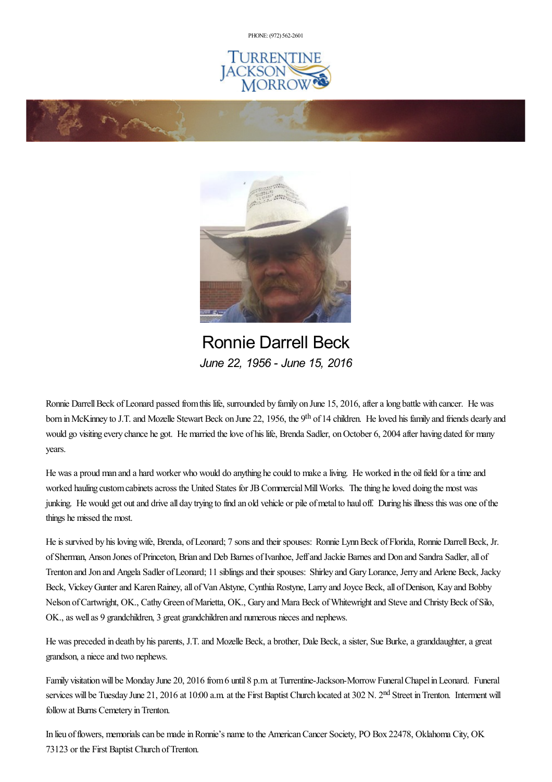PHONE: (972) [562-2601](tel:(972) 562-2601)







Ronnie Darrell Beck *June 22, 1956 - June 15, 2016*

Ronnie Darrell Beck of Leonard passed from this life, surrounded by family on June 15, 2016, after a long battle with cancer. He was born in McKinney to J.T. and Mozelle Stewart Beck on June 22, 1956, the 9<sup>th</sup> of 14 children. He loved his family and friends dearly and would go visiting every chance he got. He married the love of his life, Brenda Sadler, on October 6, 2004 after having dated for many years.

He wasa proud man and a hard worker who would do anything hecould to makealiving. He worked in the oilfield foratimeand worked hauling custom cabinets across the United States for JB Commercial Mill Works. The thing he loved doing the most was junking. He would get out and drive all day trying to find an old vehicle or pile of metal to haul off. During his illness this was one of the things he missed the most.

He is survived by his loving wife, Brenda, of Leonard; 7 sons and their spouses: Ronnie Lynn Beck of Florida, Ronnie Darrell Beck, Jr. of Sherman, Anson Jones of Princeton, Brian and Deb Barnes of Ivanhoe, Jeff and Jackie Barnes and Don and Sandra Sadler, all of Trenton and Jon and Angela Sadler ofLeonard; 11 siblingsand their spouses: Shirley and GaryLorance, Jerry and Arlene Beck, Jacky Beck, Vickey Gunter and Karen Rainey, all of Van Alstyne, Cynthia Rostyne, Larry and Joyce Beck, all of Denison, Kay and Bobby Nelson of Cartwright, OK., Cathy Green of Marietta, OK., Gary and Mara Beck of Whitewright and Steve and Christy Beck of Silo, OK., as well as 9 grandchildren, 3 great grandchildren and numerous nieces and nephews.

He was preceded in death by his parents, J.T. and Mozelle Beck, a brother, Dale Beck, a sister, Sue Burke, a granddaughter, a great grandson,a nieceand two nephews.

Family visitation will be Monday June 20, 2016 from 6 until 8 p.m. at Turrentine-Jackson-Morrow Funeral Chapel in Leonard. Funeral services will be Tuesday June 21, 2016 at 10:00 a.m. at the First Baptist Church located at 302 N. 2<sup>nd</sup> Street in Trenton. Interment will follow at Burns Cemetery in Trenton.

In lieu of flowers, memorials can be made in Ronnie's name to the American Cancer Society, PO Box 22478, Oklahoma City, OK 73123 or the First Baptist Church of Trenton.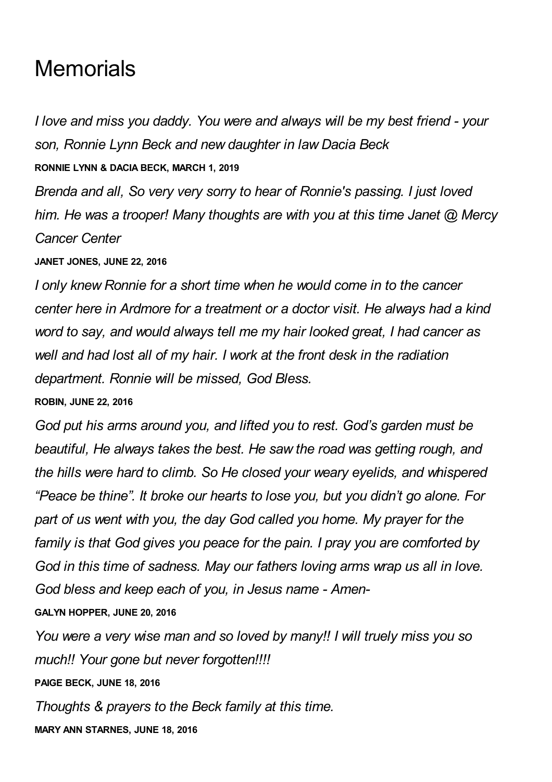## **Memorials**

*I love and miss you daddy. You were and always will be my best friend - your son, Ronnie Lynn Beck and new daughter in law Dacia Beck* **RONNIE LYNN & DACIA BECK, MARCH 1, 2019**

*Brenda and all, So very very sorry to hear of Ronnie's passing. I just loved him. He was a trooper! Many thoughts are with you at this time Janet @ Mercy Cancer Center*

**JANET JONES, JUNE 22, 2016**

*I only knew Ronnie for a short time when he would come in to the cancer center here in Ardmore for a treatment or a doctor visit. He always had a kind word to say, and would always tell me my hair looked great, I had cancer as well and had lost all of my hair. I work at the front desk in the radiation department. Ronnie will be missed, God Bless.*

**ROBIN, JUNE 22, 2016**

*God put his arms around you, and lifted you to rest. God's garden must be beautiful, He always takes the best. He saw the road was getting rough, and the hills were hard to climb. So He closed your weary eyelids, and whispered "Peace be thine". It broke our hearts to lose you, but you didn't go alone. For part of us went with you, the day God called you home. My prayer for the family is that God gives you peace for the pain. I pray you are comforted by God in this time of sadness. May our fathers loving arms wrap us all in love. God bless and keep each of you, in Jesus name - Amen-*

**GALYN HOPPER, JUNE 20, 2016**

*You were a very wise man and so loved by many!! I will truely miss you so much!! Your gone but never forgotten!!!!*

**PAIGE BECK, JUNE 18, 2016**

*Thoughts & prayers to the Beck family at this time.*

**MARY ANN STARNES, JUNE 18, 2016**